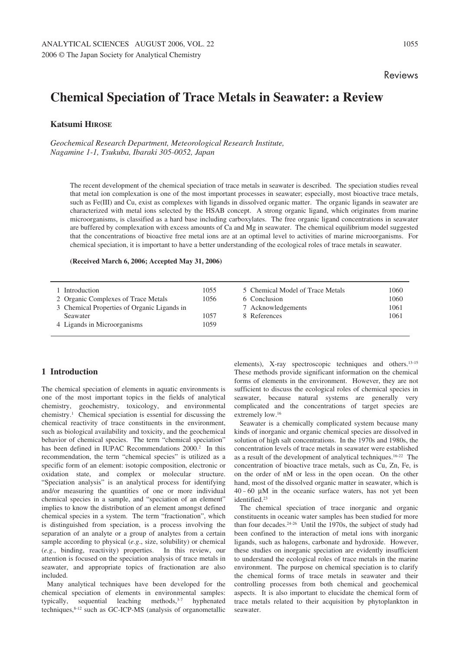# **Chemical Speciation of Trace Metals in Seawater: a Review**

**Katsumi HIROSE**

*Geochemical Research Department, Meteorological Research Institute, Nagamine 1-1, Tsukuba, Ibaraki 305–0052, Japan*

The recent development of the chemical speciation of trace metals in seawater is described. The speciation studies reveal that metal ion complexation is one of the most important processes in seawater; especially, most bioactive trace metals, such as Fe(III) and Cu, exist as complexes with ligands in dissolved organic matter. The organic ligands in seawater are characterized with metal ions selected by the HSAB concept. A strong organic ligand, which originates from marine microorganisms, is classified as a hard base including carboxylates. The free organic ligand concentrations in seawater are buffered by complexation with excess amounts of Ca and Mg in seawater. The chemical equilibrium model suggested that the concentrations of bioactive free metal ions are at an optimal level to activities of marine microorganisms. For chemical speciation, it is important to have a better understanding of the ecological roles of trace metals in seawater.

#### **(Received March 6, 2006; Accepted May 31, 2006)**

| Introduction                                                                                  | 1055         | 5 Chemical Model of Trace Metals   | 1060         |
|-----------------------------------------------------------------------------------------------|--------------|------------------------------------|--------------|
| 2 Organic Complexes of Trace Metals                                                           | 1056         | 6 Conclusion                       | 1060         |
| 3 Chemical Properties of Organic Ligands in<br><b>Seawater</b><br>4 Ligands in Microorganisms | 1057<br>1059 | 7 Acknowledgements<br>8 References | 1061<br>1061 |

# **1 Introduction**

The chemical speciation of elements in aquatic environments is one of the most important topics in the fields of analytical chemistry, geochemistry, toxicology, and environmental chemistry.1 Chemical speciation is essential for discussing the chemical reactivity of trace constituents in the environment, such as biological availability and toxicity, and the geochemical behavior of chemical species. The term "chemical speciation" has been defined in IUPAC Recommendations 2000.<sup>2</sup> In this recommendation, the term "chemical species" is utilized as a specific form of an element: isotopic composition, electronic or oxidation state, and complex or molecular structure. "Speciation analysis" is an analytical process for identifying and/or measuring the quantities of one or more individual chemical species in a sample, and "speciation of an element" implies to know the distribution of an element amongst defined chemical species in a system. The term "fractionation", which is distinguished from speciation, is a process involving the separation of an analyte or a group of analytes from a certain sample according to physical (*e.g*., size, solubility) or chemical (*e.g*., binding, reactivity) properties. In this review, our attention is focused on the speciation analysis of trace metals in seawater, and appropriate topics of fractionation are also included.

Many analytical techniques have been developed for the chemical speciation of elements in environmental samples: typically, sequential leaching methods,<sup>3-7</sup> hyphenated techniques, 8-12 such as GC-ICP-MS (analysis of organometallic

elements), X-ray spectroscopic techniques and others.13–15 These methods provide significant information on the chemical forms of elements in the environment. However, they are not sufficient to discuss the ecological roles of chemical species in seawater, because natural systems are generally very complicated and the concentrations of target species are extremely low.16

Seawater is a chemically complicated system because many kinds of inorganic and organic chemical species are dissolved in solution of high salt concentrations. In the 1970s and 1980s, the concentration levels of trace metals in seawater were established as a result of the development of analytical techniques.16–22 The concentration of bioactive trace metals, such as Cu, Zn, Fe, is on the order of nM or less in the open ocean. On the other hand, most of the dissolved organic matter in seawater, which is  $40 - 60$  μM in the oceanic surface waters, has not yet been identified.<sup>23</sup>

The chemical speciation of trace inorganic and organic constituents in oceanic water samples has been studied for more than four decades.24–26 Until the 1970s, the subject of study had been confined to the interaction of metal ions with inorganic ligands, such as halogens, carbonate and hydroxide. However, these studies on inorganic speciation are evidently insufficient to understand the ecological roles of trace metals in the marine environment. The purpose on chemical speciation is to clarify the chemical forms of trace metals in seawater and their controlling processes from both chemical and geochemical aspects. It is also important to elucidate the chemical form of trace metals related to their acquisition by phytoplankton in seawater.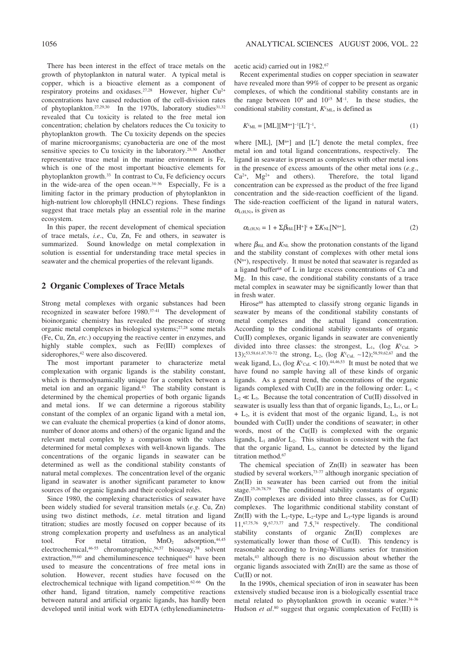There has been interest in the effect of trace metals on the growth of phytoplankton in natural water. A typical metal is copper, which is a bioactive element as a component of respiratory proteins and oxidases.<sup>27,28</sup> However, higher Cu<sup>2+</sup> concentrations have caused reduction of the cell-division rates of phytoplankton.<sup>27,29,30</sup> In the 1970s, laboratory studies<sup>31,32</sup> revealed that Cu toxicity is related to the free metal ion concentration; chelation by chelators reduces the Cu toxicity to phytoplankton growth. The Cu toxicity depends on the species of marine microorganisms; cyanobacteria are one of the most sensitive species to Cu toxicity in the laboratory.<sup>28,30</sup> Another representative trace metal in the marine environment is Fe, which is one of the most important bioactive elements for phytoplankton growth.33 In contrast to Cu, Fe deficiency occurs in the wide-area of the open ocean.34–36 Especially, Fe is a limiting factor in the primary production of phytoplankton in high-nutrient low chlorophyll (HNLC) regions. These findings suggest that trace metals play an essential role in the marine ecosystem.

In this paper, the recent development of chemical speciation of trace metals, *i.e*., Cu, Zn, Fe and others, in seawater is summarized. Sound knowledge on metal complexation in solution is essential for understanding trace metal species in seawater and the chemical properties of the relevant ligands.

## **2 Organic Complexes of Trace Metals**

Strong metal complexes with organic substances had been recognized in seawater before 1980.37–41 The development of bioinorganic chemistry has revealed the presence of strong organic metal complexes in biological systems;27,28 some metals (Fe, Cu, Zn, *etc*.) occupying the reactive center in enzymes, and highly stable complex, such as Fe(III) complexes of siderophores,<sup>42</sup> were also discovered.

The most important parameter to characterize metal complexation with organic ligands is the stability constant, which is thermodynamically unique for a complex between a metal ion and an organic ligand.43 The stability constant is determined by the chemical properties of both organic ligands and metal ions. If we can determine a rigorous stability constant of the complex of an organic ligand with a metal ion, we can evaluate the chemical properties (a kind of donor atoms, number of donor atoms and others) of the organic ligand and the relevant metal complex by a comparison with the values determined for metal complexes with well-known ligands. The concentrations of the organic ligands in seawater can be determined as well as the conditional stability constants of natural metal complexes. The concentration level of the organic ligand in seawater is another significant parameter to know sources of the organic ligands and their ecological roles.

Since 1980, the complexing characteristics of seawater have been widely studied for several transition metals (*e.g*. Cu, Zn) using two distinct methods, *i.e*. metal titration and ligand titration; studies are mostly focused on copper because of its strong complexation property and usefulness as an analytical tool. For metal titration,  $MnO<sub>2</sub>$  adsorption.<sup>44,45</sup> tool. For metal titration,  $MnO<sub>2</sub>$ electrochemical,46–55 chromatographic,56,57 bioassay,58 solvent extraction, $59,60$  and chemiluminescence techniques<sup>61</sup> have been used to measure the concentrations of free metal ions in solution. However, recent studies have focused on the electrochemical technique with ligand competition.62–66 On the other hand, ligand titration, namely competitive reactions between natural and artificial organic ligands, has hardly been developed until initial work with EDTA (ethylenediaminetetraacetic acid) carried out in 1982.67

Recent experimental studies on copper speciation in seawater have revealed more than 99% of copper to be present as organic complexes, of which the conditional stability constants are in the range between  $10^9$  and  $10^{15}$  M<sup>-1</sup>. In these studies, the conditional stability constant,  $K<sup>c</sup><sub>ML</sub>$ , is defined as

$$
K^{c}{}_{ML} = [ML][M^{n+}]^{-1}[L']^{-1}, \qquad (1)
$$

where  $[ML]$ ,  $[M^{n+}]$  and  $[L']$  denote the metal complex, free metal ion and total ligand concentrations, respectively. The ligand in seawater is present as complexes with other metal ions in the presence of excess amounts of the other metal ions  $(e.g., Ca<sup>2+</sup>, Mg<sup>2+</sup>$  and others). Therefore, the total ligand  $Ca^{2+}$ ,  $Mg^{2+}$  and others). concentration can be expressed as the product of the free ligand concentration and the side-reaction coefficient of the ligand. The side-reaction coefficient of the ligand in natural waters,  $\alpha$ <sub>L(H,N)</sub>, is given as

$$
\alpha_{L(H,N)} = 1 + \Sigma \beta_{HiL}[H^+]^i + \Sigma K_{NL}[N^{n+}], \qquad (2)
$$

where  $\beta_{\text{Hil}}$  and  $K_{\text{NL}}$  show the protonation constants of the ligand and the stability constant of complexes with other metal ions  $(N<sup>n+</sup>)$ , respectively. It must be noted that seawater is regarded as a ligand buffer68 of L in large excess concentrations of Ca and Mg. In this case, the conditional stability constants of a trace metal complex in seawater may be significantly lower than that in fresh water.

Hirose<sup>69</sup> has attempted to classify strong organic ligands in seawater by means of the conditional stability constants of metal complexes and the actual ligand concentration. According to the conditional stability constants of organic Cu(II) complexes, organic ligands in seawater are conveniently divided into three classes: the strongest,  $L_1$ , (log  $K_c$ <sup>c</sup><sub>CuL</sub> > 13);<sup>53,58,61,67,70-72</sup> the strong, L<sub>2</sub>, (log K<sup>c</sup><sub>CuL</sub> ~12);<sup>58,59,62,67</sup> and the weak ligand,  $L_3$ , (log  $K^c_{\text{CuL}}$  < 10).<sup>44,46,53</sup> It must be noted that we have found no sample having all of these kinds of organic ligands. As a general trend, the concentrations of the organic ligands complexed with Cu(II) are in the following order:  $L_1$  <  $L_2 \ll L_3$ . Because the total concentration of Cu(II) dissolved in seawater is usually less than that of organic ligands,  $L_2$ ,  $L_1$ , or  $L_1$  $+$  L<sub>2</sub>, it is evident that most of the organic ligand, L<sub>3</sub>, is not bounded with Cu(II) under the conditions of seawater; in other words, most of the Cu(II) is complexed with the organic ligands,  $L_1$  and/or  $L_2$ . This situation is consistent with the fact that the organic ligand, L3, cannot be detected by the ligand titration method.<sup>67</sup>

The chemical speciation of Zn(II) in seawater has been studied by several workers,<sup>73-77</sup> although inorganic speciation of Zn(II) in seawater has been carried out from the initial stage.25,26,78,79 The conditional stability constants of organic Zn(II) complexes are divided into three classes, as for Cu(II) complexes. The logarithmic conditional stability constant of  $Zn(II)$  with the L<sub>1</sub>-type, L<sub>2</sub>-type and L<sub>3</sub>-type ligands is around  $11,67,75,76$  9,67,73,77 and 7.5,74 respectively. The conditional stability constants of organic Zn(II) complexes are systematically lower than those of Cu(II). This tendency is reasonable according to Irving–Williams series for transition metals,43 although there is no discussion about whether the organic ligands associated with Zn(II) are the same as those of Cu(II) or not.

In the 1990s, chemical speciation of iron in seawater has been extensively studied because iron is a biologically essential trace metal related to phytoplankton growth in oceanic water.34–36 Hudson *et al.*<sup>80</sup> suggest that organic complexation of Fe(III) is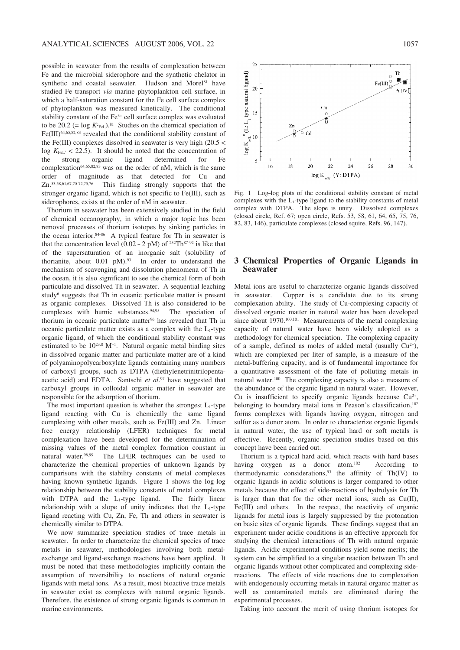possible in seawater from the results of complexation between Fe and the microbial siderophore and the synthetic chelator in synthetic and coastal seawater. Hudson and Morel<sup>81</sup> have studied Fe transport *via* marine phytoplankton cell surface, in which a half-saturation constant for the Fe cell surface complex of phytoplankton was measured kinetically. The conditional stability constant of the Fe3+ cell surface complex was evaluated to be 20.2 (=  $\log K_{\rm FeL}$ ).<sup>81</sup> Studies on the chemical speciation of Fe(III)64,65,82,83 revealed that the conditional stability constant of the Fe(III) complexes dissolved in seawater is very high  $(20.5 \le$  $\log K_{\text{FeL}}$ <sup> $\leq$ </sup> 22.5). It should be noted that the concentration of the strong organic ligand determined for Fe complexation<sup>64,65,82,83</sup> was on the order of nM, which is the same order of magnitude as that detected for Cu and  $Z_{n}$ ,  $53,58,61,67,70-72,75,76$  This finding strongly supports that the This finding strongly supports that the stronger organic ligand, which is not specific to Fe(III), such as siderophores, exists at the order of nM in seawater.

Thorium in seawater has been extensively studied in the field of chemical oceanography, in which a major topic has been removal processes of thorium isotopes by sinking particles in the ocean interior.<sup>84-86</sup> A typical feature for Th in seawater is that the concentration level (0.02 – 2 pM) of <sup>232</sup>Th<sup>87-92</sup> is like that of the supersaturation of an inorganic salt (solubility of thorianite, about  $0.01$  pM $.93$  In order to understand the mechanism of scavenging and dissolution phenomena of Th in the ocean, it is also significant to see the chemical form of both particulate and dissolved Th in seawater. A sequential leaching study<sup>6</sup> suggests that Th in oceanic particulate matter is present as organic complexes. Dissolved Th is also considered to be complexes with humic substances.94,95 The speciation of thorium in oceanic particulate matter<sup>96</sup> has revealed that Th in oceanic particulate matter exists as a complex with the  $L_1$ -type organic ligand, of which the conditional stability constant was estimated to be  $10^{23.8}$  M<sup>-1</sup>. Natural organic metal binding sites in dissolved organic matter and particulate matter are of a kind of polyaminopolycarboxylate ligands containing many numbers of carboxyl groups, such as DTPA (diethylenetrinitrilopentaacetic acid) and EDTA. Santschi *et al*. <sup>97</sup> have suggested that carboxyl groups in colloidal organic matter in seawater are responsible for the adsorption of thorium.

The most important question is whether the strongest  $L_1$ -type ligand reacting with Cu is chemically the same ligand complexing with other metals, such as Fe(III) and Zn. Linear free energy relationship (LFER) techniques for metal complexation have been developed for the determination of missing values of the metal complex formation constant in natural water.98,99 The LFER techniques can be used to characterize the chemical properties of unknown ligands by comparisons with the stability constants of metal complexes having known synthetic ligands. Figure 1 shows the log–log relationship between the stability constants of metal complexes with DTPA and the  $L_1$ -type ligand. The fairly linear relationship with a slope of unity indicates that the  $L_1$ -type ligand reacting with Cu, Zn, Fe, Th and others in seawater is chemically similar to DTPA.

We now summarize speciation studies of trace metals in seawater. In order to characterize the chemical species of trace metals in seawater, methodologies involving both metalexchange and ligand-exchange reactions have been applied. It must be noted that these methodologies implicitly contain the assumption of reversibility to reactions of natural organic ligands with metal ions. As a result, most bioactive trace metals in seawater exist as complexes with natural organic ligands. Therefore, the existence of strong organic ligands is common in marine environments.



Fig. 1 Log–log plots of the conditional stability constant of metal complexes with the  $L_1$ -type ligand to the stability constants of metal complex with DTPA. The slope is unity. Dissolved complexes (closed circle, Ref. 67; open circle, Refs. 53, 58, 61, 64, 65, 75, 76, 82, 83, 146), particulate complexes (closed squire, Refs. 96, 147).

## **3 Chemical Properties of Organic Ligands in Seawater**

Metal ions are useful to characterize organic ligands dissolved in seawater. Copper is a candidate due to its strong complexation ability. The study of Cu-complexing capacity of dissolved organic matter in natural water has been developed since about 1970.<sup>100,101</sup> Measurements of the metal complexing capacity of natural water have been widely adopted as a methodology for chemical speciation. The complexing capacity of a sample, defined as moles of added metal (usually  $Cu^{2+}$ ), which are complexed per liter of sample, is a measure of the metal-buffering capacity, and is of fundamental importance for a quantitative assessment of the fate of polluting metals in natural water.100 The complexing capacity is also a measure of the abundance of the organic ligand in natural water. However, Cu is insufficient to specify organic ligands because  $Cu^{2+}$ , belonging to boundary metal ions in Peason's classification,<sup>102</sup> forms complexes with ligands having oxygen, nitrogen and sulfur as a donor atom. In order to characterize organic ligands in natural water, the use of typical hard or soft metals is effective. Recently, organic speciation studies based on this concept have been carried out.

Thorium is a typical hard acid, which reacts with hard bases having oxygen as a donor atom.<sup>102</sup> According to thermodynamic considerations,93 the affinity of Th(IV) to organic ligands in acidic solutions is larger compared to other metals because the effect of side-reactions of hydrolysis for Th is larger than that for the other metal ions, such as Cu(II), Fe(III) and others. In the respect, the reactivity of organic ligands for metal ions is largely suppressed by the protonation on basic sites of organic ligands. These findings suggest that an experiment under acidic conditions is an effective approach for studying the chemical interactions of Th with natural organic ligands. Acidic experimental conditions yield some merits; the system can be simplified to a singular reaction between Th and organic ligands without other complicated and complexing sidereactions. The effects of side reactions due to complexation with endogenously occurring metals in natural organic matter as well as contaminated metals are eliminated during the experimental processes.

Taking into account the merit of using thorium isotopes for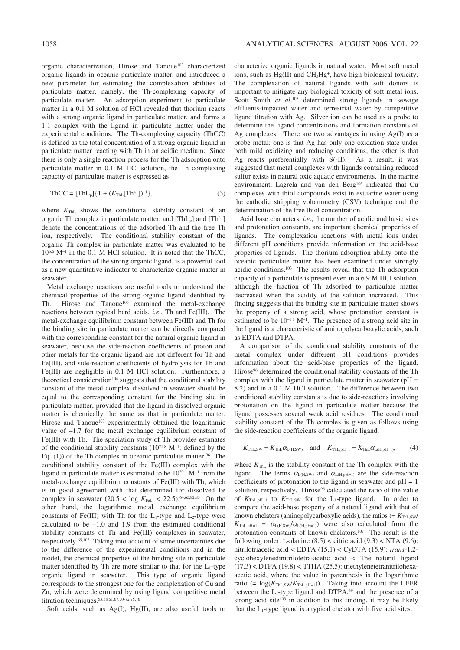organic characterization, Hirose and Tanoue<sup>103</sup> characterized organic ligands in oceanic particulate matter, and introduced a new parameter for estimating the complexation abilities of particulate matter, namely, the Th-complexing capacity of particulate matter. An adsorption experiment to particulate matter in a 0.1 M solution of HCl revealed that thorium reacts with a strong organic ligand in particulate matter, and forms a 1:1 complex with the ligand in particulate matter under the experimental conditions. The Th-complexing capacity (ThCC) is defined as the total concentration of a strong organic ligand in particulate matter reacting with Th in an acidic medium. Since there is only a single reaction process for the Th adsorption onto particulate matter in 0.1 M HCl solution, the Th complexing capacity of particulate matter is expressed as

$$
ThCC = [ThLp]\{1 + (KThL[Th4+])-1\},
$$
\n(3)

where  $K_{\text{ThL}}$  shows the conditional stability constant of an organic Th complex in particulate matter, and  $[ThL_p]$  and  $[Th^{4+}]$ denote the concentrations of the adsorbed Th and the free Th ion, respectively. The conditional stability constant of the organic Th complex in particulate matter was evaluated to be  $10^{6.6}$  M<sup>-1</sup> in the 0.1 M HCl solution. It is noted that the ThCC, the concentration of the strong organic ligand, is a powerful tool as a new quantitative indicator to characterize organic matter in seawater.

Metal exchange reactions are useful tools to understand the chemical properties of the strong organic ligand identified by Th. Hirose and Tanoue<sup>103</sup> examined the metal-exchange reactions between typical hard acids, *i.e*., Th and Fe(III). The metal-exchange equilibrium constant between Fe(III) and Th for the binding site in particulate matter can be directly compared with the corresponding constant for the natural organic ligand in seawater, because the side-reaction coefficients of proton and other metals for the organic ligand are not different for Th and Fe(III), and side-reaction coefficients of hydrolysis for Th and Fe(III) are negligible in 0.1 M HCl solution. Furthermore, a theoretical consideration<sup>104</sup> suggests that the conditional stability constant of the metal complex dissolved in seawater should be equal to the corresponding constant for the binding site in particulate matter, provided that the ligand in dissolved organic matter is chemically the same as that in particulate matter. Hirose and Tanoue<sup>103</sup> experimentally obtained the logarithmic value of –1.7 for the metal exchange equilibrium constant of Fe(III) with Th. The speciation study of Th provides estimates of the conditional stability constants  $(10^{21.8} \text{ M}^{-1})$ : defined by the Eq. (1)) of the Th complex in oceanic particulate matter.<sup>96</sup> The conditional stability constant of the Fe(III) complex with the ligand in particulate matter is estimated to be  $10^{20.1}$  M<sup>-1</sup> from the metal-exchange equilibrium constants of Fe(III) with Th, which is in good agreement with that determined for dissolved Fe complex in seawater  $(20.5 <$  log  $K_{\text{FeL'}} < 22.5)$ .<sup>64,65,82,83</sup> On the other hand, the logarithmic metal exchange equilibrium constants of Fe(III) with Th for the  $L_1$ -type and  $L_2$ -type were calculated to be –1.0 and 1.9 from the estimated conditional stability constants of Th and Fe(III) complexes in seawater, respectively.69,103 Taking into account of some uncertainties due to the difference of the experimental conditions and in the model, the chemical properties of the binding site in particulate matter identified by Th are more similar to that for the  $L_1$ -type organic ligand in seawater. This type of organic ligand corresponds to the strongest one for the complexation of Cu and Zn, which were determined by using ligand competitive metal titration techniques.53,58,61,67,70–72,75,76

Soft acids, such as Ag(I), Hg(II), are also useful tools to

characterize organic ligands in natural water. Most soft metal ions, such as Hg(II) and CH3Hg+, have high biological toxicity. The complexation of natural ligands with soft donors is important to mitigate any biological toxicity of soft metal ions. Scott Smith *et al.*<sup>105</sup> determined strong ligands in sewage effluents-impacted water and terrestrial water by competitive ligand titration with Ag. Silver ion can be used as a probe to determine the ligand concentrations and formation constants of Ag complexes. There are two advantages in using  $Ag(I)$  as a probe metal: one is that Ag has only one oxidation state under both mild oxidizing and reducing conditions; the other is that Ag reacts preferentially with S(-II). As a result, it was suggested that metal complexes with ligands containing reduced sulfur exists in natural oxic aquatic environments. In the marine environment, Lagrela and van den Berg<sup>106</sup> indicated that Cu complexes with thiol compounds exist in estuarine water using the cathodic stripping voltammetry (CSV) technique and the determination of the free thiol concentration.

Acid base characters, *i.e*., the number of acidic and basic sites and protonation constants, are important chemical properties of ligands. The complexation reactions with metal ions under different pH conditions provide information on the acid-base properties of ligands. The thorium adsorption ability onto the oceanic particulate matter has been examined under strongly acidic conditions.103 The results reveal that the Th adsorption capacity of a particulate is present even in a 6.9 M HCl solution, although the fraction of Th adsorbed to particulate matter decreased when the acidity of the solution increased. This finding suggests that the binding site in particulate matter shows the property of a strong acid, whose protonation constant is estimated to be  $10^{-1.1}$  M<sup>-1</sup>. The presence of a strong acid site in the ligand is a characteristic of aminopolycarboxylic acids, such as EDTA and DTPA.

A comparison of the conditional stability constants of the metal complex under different pH conditions provides information about the acid-base properties of the ligand. Hirose96 determined the conditional stability constants of the Th complex with the ligand in particulate matter in seawater ( $pH =$ 8.2) and in a 0.1 M HCl solution. The difference between two conditional stability constants is due to side-reactions involving protonation on the ligand in particulate matter because the ligand possesses several weak acid residues. The conditional stability constant of the Th complex is given as follows using the side-reaction coefficients of the organic ligand:

$$
K_{\text{ThL,SW}} = K_{\text{ThL}} \alpha_{\text{L(H,SW)}} \quad \text{and} \quad K_{\text{ThL,pH=1}} = K_{\text{ThL}} \alpha_{\text{L(H,pH=1)}}, \tag{4}
$$

where *K*ThL is the stability constant of the Th complex with the ligand. The terms  $\alpha_{L(H,SW)}$  and  $\alpha_{L(H,pH=1)}$  are the side-reaction coefficients of protonation to the ligand in seawater and  $pH = 1$ solution, respectively. Hirose<sup>96</sup> calculated the ratio of the value of  $K_{\text{ThL,ph-1}}$  to  $K_{\text{ThL,SW}}$  for the L<sub>1</sub>-type ligand. In order to compare the acid-base property of a natural ligand with that of known chelators (aminopolycarboxylic acids), the ratios  $(= K_{\text{ThL,SW}}/$  $K_{\text{ThL, oH=1}} = \alpha_{\text{L(H, SW)}} / \alpha_{\text{L(H, oH=1)}}$  were also calculated from the protonation constants of known chelators.107 The result is the following order: L-alanine  $(8.5) <$  citric acid  $(9.3) <$  NTA  $(9.6)$ : nitrilotriacetic acid < EDTA (15.1) < CyDTA (15.9): *trans*-1,2 cyclohexylenedinitrilotetra-acetic acid < The natural ligand (17.3) < DTPA (19.8) < TTHA (25.5): triethylenetetranitrilohexaacetic acid, where the value in parenthesis is the logarithmic ratio (=  $\log(K_{\text{ThL,SW}}/K_{\text{ThL,PH-1}})$ ). Taking into account the LFER between the  $L_1$ -type ligand and DTPA,<sup>69</sup> and the presence of a strong acid site<sup>103</sup> in addition to this finding, it may be likely that the  $L_1$ -type ligand is a typical chelator with five acid sites.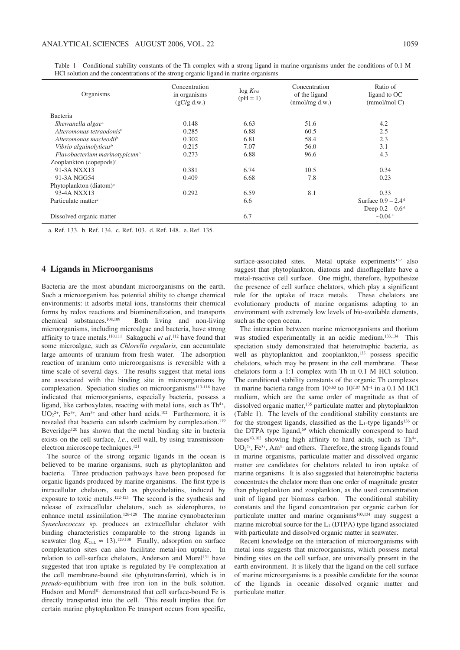| ANALYTICAL SCIENCES AUGUST 2006, VOL. 22                                                                                            |               |                                     |                | 1059                                                      |
|-------------------------------------------------------------------------------------------------------------------------------------|---------------|-------------------------------------|----------------|-----------------------------------------------------------|
|                                                                                                                                     |               |                                     |                |                                                           |
| Conditional stability constants of the Th complex with a strong ligand in marine organisms under the conditions of 0.1 M<br>Table 1 |               |                                     |                |                                                           |
| HCl solution and the concentrations of the strong organic ligand in marine organisms                                                |               |                                     |                |                                                           |
|                                                                                                                                     | Concentration |                                     | Concentration  | Ratio of                                                  |
| Organisms                                                                                                                           | in organisms  | $\log K_{\text{ThL}}$<br>$(pH = 1)$ | of the ligand  | ligand to OC                                              |
|                                                                                                                                     | (gC/g d.w.)   |                                     | (nmol/mg d.w.) | (mmol/mol)                                                |
| Bacteria                                                                                                                            |               |                                     |                |                                                           |
| Shewanella algae <sup>a</sup>                                                                                                       | 0.148         | 6.63                                | 51.6           | 4.2                                                       |
| Alteromonas tetraodonis <sup>b</sup>                                                                                                | 0.285         | 6.88                                | 60.5           | $2.5\,$                                                   |
| Alteromonas macleodii <sup>b</sup>                                                                                                  | 0.302         | 6.81                                | 58.4           | $2.3\,$                                                   |
| Vibrio alguinolyticus <sup>b</sup>                                                                                                  | 0.215         | 7.07                                | 56.0           | 3.1                                                       |
| Flavobacterium marinotypicum <sup>b</sup>                                                                                           | 0.273         | 6.88                                | 96.6           | 4.3                                                       |
| Zooplankton (copepods) <sup>a</sup>                                                                                                 |               |                                     |                |                                                           |
| 91-3A NXX13                                                                                                                         | 0.381         |                                     |                |                                                           |
| 91-3A NGG54                                                                                                                         |               | 6.74                                | 10.5           | 0.34                                                      |
| Phytoplankton (diatom) <sup>a</sup>                                                                                                 | 0.409         | 6.68                                | 7.8            | 0.23                                                      |
| 93-4A NXX13                                                                                                                         |               |                                     |                |                                                           |
|                                                                                                                                     | 0.292         | 6.59                                | $8.1\,$        | 0.33                                                      |
| Particulate matter <sup>c</sup>                                                                                                     |               | 6.6                                 |                | Surface $0.9 - 2.4$ <sup>d</sup>                          |
| Dissolved organic matter                                                                                                            |               | 6.7                                 |                | Deep $0.2 - 0.6$ <sup>d</sup><br>$\sim 0.04$ <sup>e</sup> |

HCl solution and the concentrations of the strong organic ligand in marine organisms

a. Ref. 133. b. Ref. 134. c. Ref. 103. d. Ref. 148. e. Ref. 135.

# **4 Ligands in Microorganisms**

Bacteria are the most abundant microorganisms on the earth. Such a microorganism has potential ability to change chemical environments: it adsorbs metal ions, transforms their chemical forms by redox reactions and biomineralization, and transports chemical substances.108,109 Both living and non-living microorganisms, including microalgae and bacteria, have strong affinity to trace metals.110,111 Sakaguchi *et al*. <sup>112</sup> have found that some microalgae, such as *Chlorella regularis*, can accumulate large amounts of uranium from fresh water. The adsorption reaction of uranium onto microorganisms is reversible with a time scale of several days. The results suggest that metal ions are associated with the binding site in microorganisms by complexation. Speciation studies on microorganisms<sup>113-118</sup> have indicated that microorganisms, especially bacteria, possess a ligand, like carboxylates, reacting with metal ions, such as  $Th<sup>4+</sup>$ ,  $UO<sub>2</sub><sup>2+</sup>$ , Fe<sup>3+</sup>, Am<sup>3+</sup> and other hard acids.<sup>102</sup> Furthermore, it is revealed that bacteria can adsorb cadmium by complexation.<sup>119</sup> Beveridge<sup>120</sup> has shown that the metal binding site in bacteria exists on the cell surface, *i.e*., cell wall, by using transmissionelectron microscope techniques.121

The source of the strong organic ligands in the ocean is believed to be marine organisms, such as phytoplankton and bacteria. Three production pathways have been proposed for organic ligands produced by marine organisms. The first type is intracellular chelators, such as phytochelatins, induced by exposure to toxic metals.122–125 The second is the synthesis and release of extracellular chelators, such as siderophores, to enhance metal assimilation.<sup>126-128</sup> The marine cyanobacterium *Synechococcus* sp. produces an extracellular chelator with binding characteristics comparable to the strong ligands in seawater (log  $K_{\text{CuL}} \approx 13$ ).<sup>129,130</sup> Finally, adsorption on surface complexation sites can also facilitate metal-ion uptake. In relation to cell-surface chelators, Anderson and Morel<sup>131</sup> have suggested that iron uptake is regulated by Fe complexation at the cell membrane-bound site (phytotransferrin), which is in *pseudo*-equilibrium with free iron ion in the bulk solution. Hudson and Morel<sup>81</sup> demonstrated that cell surface-bound Fe is directly transported into the cell. This result implies that for certain marine phytoplankton Fe transport occurs from specific,

surface-associated sites. Metal uptake experiments<sup>132</sup> also suggest that phytoplankton, diatoms and dinoflagellate have a metal-reactive cell surface. One might, therefore, hypothesize the presence of cell surface chelators, which play a significant role for the uptake of trace metals. These chelators are evolutionary products of marine organisms adapting to an environment with extremely low levels of bio-available elements, such as the open ocean.

The interaction between marine microorganisms and thorium was studied experimentally in an acidic medium.<sup>133,134</sup> This speciation study demonstrated that heterotrophic bacteria, as well as phytoplankton and zooplankton,<sup>133</sup> possess specific chelators, which may be present in the cell membrane. These chelators form a 1:1 complex with Th in 0.1 M HCl solution. The conditional stability constants of the organic Th complexes in marine bacteria range from  $10^{6.63}$  to  $10^{7.07}$  M<sup>-1</sup> in a 0.1 M HCl medium, which are the same order of magnitude as that of dissolved organic matter,135 particulate matter and phytoplankton (Table 1). The levels of the conditional stability constants are for the strongest ligands, classified as the  $L_1$ -type ligands<sup>136</sup> or the DTPA type ligand,<sup>69</sup> which chemically correspond to hard bases $43,102$  showing high affinity to hard acids, such as Th $4+$ ,  $UO<sub>2</sub><sup>2+</sup>, Fe<sup>3+</sup>, Am<sup>3+</sup>$  and others. Therefore, the strong ligands found in marine organisms, particulate matter and dissolved organic matter are candidates for chelators related to iron uptake of marine organisms. It is also suggested that heterotrophic bacteria concentrates the chelator more than one order of magnitude greater than phytoplankton and zooplankton, as the used concentration unit of ligand per biomass carbon. The conditional stability constants and the ligand concentration per organic carbon for particulate matter and marine organisms<sup>103,134</sup> may suggest a marine microbial source for the  $L_1$  (DTPA) type ligand associated with particulate and dissolved organic matter in seawater.

Recent knowledge on the interaction of microorganisms with metal ions suggests that microorganisms, which possess metal binding sites on the cell surface, are universally present in the earth environment. It is likely that the ligand on the cell surface of marine microorganisms is a possible candidate for the source of the ligands in oceanic dissolved organic matter and particulate matter.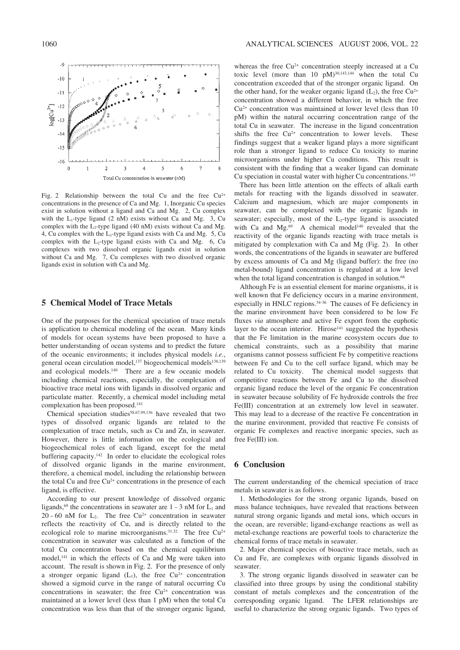

Fig. 2 Relationship between the total Cu and the free  $Cu^{2+}$ concentrations in the presence of Ca and Mg. 1, Inorganic Cu species exist in solution without a ligand and Ca and Mg. 2, Cu complex with the  $L_1$ -type ligand (2 nM) exists without Ca and Mg. 3, Cu complex with the  $L_2$ -type ligand (40 nM) exists without Ca and Mg. 4, Cu complex with the  $L_1$ -type ligand exists with Ca and Mg. 5, Cu complex with the  $L_2$ -type ligand exists with Ca and Mg. 6, Cu complexes with two dissolved organic ligands exist in solution without Ca and Mg. 7, Cu complexes with two dissolved organic ligands exist in solution with Ca and Mg.

## **5 Chemical Model of Trace Metals**

One of the purposes for the chemical speciation of trace metals is application to chemical modeling of the ocean. Many kinds of models for ocean systems have been proposed to have a better understanding of ocean systems and to predict the future of the oceanic environments; it includes physical models *i.e*., general ocean circulation model,<sup>137</sup> biogeochemical models<sup>138,139</sup> and ecological models.140 There are a few oceanic models including chemical reactions, especially, the complexation of bioactive trace metal ions with ligands in dissolved organic and particulate matter. Recently, a chemical model including metal complexation has been proposed.141

Chemical speciation studies<sup>58,67,99,136</sup> have revealed that two types of dissolved organic ligands are related to the complexation of trace metals, such as Cu and Zn, in seawater. However, there is little information on the ecological and biogeochemical roles of each ligand, except for the metal buffering capacity.142 In order to elucidate the ecological roles of dissolved organic ligands in the marine environment, therefore, a chemical model, including the relationship between the total Cu and free Cu<sup>2+</sup> concentrations in the presence of each ligand, is effective.

According to our present knowledge of dissolved organic ligands,<sup>69</sup> the concentrations in seawater are  $1 - 3$  nM for  $L_1$  and 20 – 60 nM for  $L_2$ . The free Cu<sup>2+</sup> concentration in seawater reflects the reactivity of Cu, and is directly related to the ecological role to marine microorganisms. $31,32$  The free Cu<sup>2+</sup> concentration in seawater was calculated as a function of the total Cu concentration based on the chemical equilibrium model,141 in which the effects of Ca and Mg were taken into account. The result is shown in Fig. 2. For the presence of only a stronger organic ligand  $(L_1)$ , the free  $Cu^{2+}$  concentration showed a sigmoid curve in the range of natural occurring Cu concentrations in seawater; the free  $Cu<sup>2+</sup>$  concentration was maintained at a lower level (less than 1 pM) when the total Cu concentration was less than that of the stronger organic ligand,

whereas the free Cu<sup>2+</sup> concentration steeply increased at a Cu toxic level (more than 10  $pM$ )<sup>30,143,144</sup> when the total Cu concentration exceeded that of the stronger organic ligand. On the other hand, for the weaker organic ligand  $(L_2)$ , the free Cu<sup>2+</sup> concentration showed a different behavior, in which the free  $Cu<sup>2+</sup>$  concentration was maintained at lower level (less than 10) pM) within the natural occurring concentration range of the total Cu in seawater. The increase in the ligand concentration shifts the free  $Cu^{2+}$  concentration to lower levels. These findings suggest that a weaker ligand plays a more significant role than a stronger ligand to reduce Cu toxicity to marine microorganisms under higher Cu conditions. This result is consistent with the finding that a weaker ligand can dominate Cu speciation in coastal water with higher Cu concentrations.145

There has been little attention on the effects of alkali earth metals for reacting with the ligands dissolved in seawater. Calcium and magnesium, which are major components in seawater, can be complexed with the organic ligands in seawater; especially, most of the  $L_2$ -type ligand is associated with Ca and  $Mg^{69}$ . A chemical model<sup>140</sup> revealed that the reactivity of the organic ligands reacting with trace metals is mitigated by complexation with Ca and Mg (Fig. 2). In other words, the concentrations of the ligands in seawater are buffered by excess amounts of Ca and Mg (ligand buffer): the free (no metal-bound) ligand concentration is regulated at a low level when the total ligand concentration is changed in solution.<sup>68</sup>

Although Fe is an essential element for marine organisms, it is well known that Fe deficiency occurs in a marine environment, especially in HNLC regions.34–36 The causes of Fe deficiency in the marine environment have been considered to be low Fe fluxes *via* atmosphere and active Fe export from the euphotic layer to the ocean interior. Hirose<sup>141</sup> suggested the hypothesis that the Fe limitation in the marine ecosystem occurs due to chemical constraints, such as a possibility that marine organisms cannot possess sufficient Fe by competitive reactions between Fe and Cu to the cell surface ligand, which may be related to Cu toxicity. The chemical model suggests that competitive reactions between Fe and Cu to the dissolved organic ligand reduce the level of the organic Fe concentration in seawater because solubility of Fe hydroxide controls the free Fe(III) concentration at an extremely low level in seawater. This may lead to a decrease of the reactive Fe concentration in the marine environment, provided that reactive Fe consists of organic Fe complexes and reactive inorganic species, such as free Fe(III) ion.

# **6 Conclusion**

The current understanding of the chemical speciation of trace metals in seawater is as follows.

1. Methodologies for the strong organic ligands, based on mass balance techniques, have revealed that reactions between natural strong organic ligands and metal ions, which occurs in the ocean, are reversible; ligand-exchange reactions as well as metal-exchange reactions are powerful tools to characterize the chemical forms of trace metals in seawater.

2. Major chemical species of bioactive trace metals, such as Cu and Fe, are complexes with organic ligands dissolved in seawater.

3. The strong organic ligands dissolved in seawater can be classified into three groups by using the conditional stability constant of metals complexes and the concentration of the corresponding organic ligand. The LFER relationships are useful to characterize the strong organic ligands. Two types of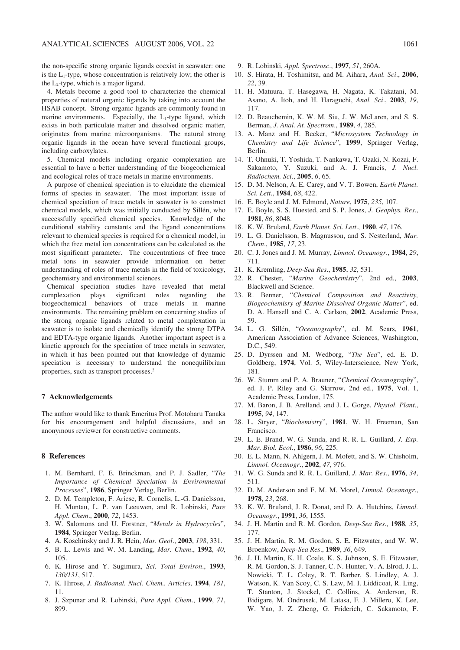the non-specific strong organic ligands coexist in seawater: one is the L1-type, whose concentration is relatively low; the other is the  $L_2$ -type, which is a major ligand.

4. Metals become a good tool to characterize the chemical properties of natural organic ligands by taking into account the HSAB concept. Strong organic ligands are commonly found in marine environments. Especially, the  $L_1$ -type ligand, which exists in both particulate matter and dissolved organic matter, originates from marine microorganisms. The natural strong organic ligands in the ocean have several functional groups, including carboxylates.

5. Chemical models including organic complexation are essential to have a better understanding of the biogeochemical and ecological roles of trace metals in marine environments.

A purpose of chemical speciation is to elucidate the chemical forms of species in seawater. The most important issue of chemical speciation of trace metals in seawater is to construct chemical models, which was initially conducted by Sillén, who successfully specified chemical species. Knowledge of the conditional stability constants and the ligand concentrations relevant to chemical species is required for a chemical model, in which the free metal ion concentrations can be calculated as the most significant parameter. The concentrations of free trace metal ions in seawater provide information on better understanding of roles of trace metals in the field of toxicology, geochemistry and environmental sciences.

Chemical speciation studies have revealed that metal significant roles regarding the biogeochemical behaviors of trace metals in marine environments. The remaining problem on concerning studies of the strong organic ligands related to metal complexation in seawater is to isolate and chemically identify the strong DTPA and EDTA-type organic ligands. Another important aspect is a kinetic approach for the speciation of trace metals in seawater, in which it has been pointed out that knowledge of dynamic speciation is necessary to understand the nonequilibrium properties, such as transport processes.2

#### **7 Acknowledgements**

The author would like to thank Emeritus Prof. Motoharu Tanaka for his encouragement and helpful discussions, and an anonymous reviewer for constructive comments.

#### **8 References**

- 1. M. Bernhard, F. E. Brinckman, and P. J. Sadler, "*The Importance of Chemical Speciation in Environmental Processes*", **1986**, Springer Verlag, Berlin.
- 2. D. M. Templeton, F. Ariese, R. Cornelis, L.-G. Danielsson, H. Muntau, L. P. van Leeuwen, and R. Lobinski, *Pure Appl. Chem*., **2000**, *72*, 1453.
- 3. W. Salomons and U. Forstner, "*Metals in Hydrocycles*", **1984**, Springer Verlag, Berlin.
- 4. A. Koschinsky and J. R. Hein, *Mar. Geol*., **2003**, *198*, 331.
- 5. B. L. Lewis and W. M. Landing, *Mar. Chem*., **1992**, *40*, 105.
- 6. K. Hirose and Y. Sugimura, *Sci. Total Environ*., **1993**, *130/131*, 517.
- 7. K. Hirose, *J. Radioanal. Nucl. Chem., Articles*, **1994**, *181*, 11.
- 8. J. Szpunar and R. Lobinski, *Pure Appl. Chem*., **1999**, *71*, 899.
- 9. R. Lobinski, *Appl. Spectrosc*., **1997**, *51*, 260A.
- 10. S. Hirata, H. Toshimitsu, and M. Aihara, *Anal. Sci*., **2006**, *22*, 39.
- 11. H. Matuura, T. Hasegawa, H. Nagata, K. Takatani, M. Asano, A. Itoh, and H. Haraguchi, *Anal. Sci*., **2003**, *19*, 117.
- 12. D. Beauchemin, K. W. M. Siu, J. W. McLaren, and S. S. Berman, *J. Anal. At. Spectrom*., **1989**, *4*, 285.
- 13. A. Manz and H. Becker, "*Microsystem Technology in Chemistry and Life Science*", **1999**, Springer Verlag, Berlin.
- 14. T. Ohnuki, T. Yoshida, T. Nankawa, T. Ozaki, N. Kozai, F. Sakamoto, Y. Suzuki, and A. J. Francis, *J. Nucl. Radiochem. Sci*., **2005**, *6*, 65.
- 15. D. M. Nelson, A. E. Carey, and V. T. Bowen, *Earth Planet. Sci. Lett*., **1984**, *68*, 422.
- 16. E. Boyle and J. M. Edmond, *Nature*, **1975**, *235*, 107.
- 17. E. Boyle, S. S. Huested, and S. P. Jones, *J. Geophys. Res*., **1981**, *86*, 8048.
- 18. K. W. Bruland, *Earth Planet. Sci. Lett*., **1980**, *47*, 176.
- 19. L. G. Danielsson, B. Magnusson, and S. Nesterland, *Mar. Chem*., **1985**, *17*, 23.
- 20. C. J. Jones and J. M. Murray, *Limnol. Oceanogr*., **1984**, *29*, 711.
- 21. K. Kremling, *Deep-Sea Res*., **1985**, *32*, 531.
- 22. R. Chester, "*Marine Geochemistry*", 2nd ed., **2003**, Blackwell and Science.
- 23. R. Benner, "*Chemical Composition and Reactivity, Biogeochemisry of Marine Dissolved Organic Matter*", ed. D. A. Hansell and C. A. Carlson, **2002**, Academic Press, 59.
- 24. L. G. Sillén, "*Oceanography*", ed. M. Sears, **1961**, American Association of Advance Sciences, Washington, D.C., 549.
- 25. D. Dyrssen and M. Wedborg, "*The Sea*", ed. E. D. Goldberg, **1974**, Vol. 5, Wiley-Interscience, New York, 181.
- 26. W. Stumm and P. A. Brauner, "*Chemical Oceanography*", ed. J. P. Riley and G. Skirrow, 2nd ed., **1975**, Vol. 1, Academic Press, London, 175.
- 27. M. Baron, J. B. Arelland, and J. L. Gorge, *Physiol*. *Plant*., **1995**, *94*, 147.
- 28. L. Stryer, "*Biochemistry*", **1981**, W. H. Freeman, San Francisco.
- 29. L. E. Brand, W. G. Sunda, and R. R. L. Guillard, *J. Exp. Mar. Biol. Ecol*., **1986**, *96*, 225.
- 30. E. L. Mann, N. Ahlgern, J. M. Mofett, and S. W. Chisholm, *Limnol. Oceanogr*., **2002**, *47*, 976.
- 31. W. G. Sunda and R. R. L. Guillard, *J. Mar. Res*., **1976**, *34*, 511.
- 32. D. M. Anderson and F. M. M. Morel, *Limnol. Oceanogr*., **1978**, *23*, 268.
- 33. K. W. Bruland, J. R. Donat, and D. A. Hutchins, *Limnol. Oceanogr*., **1991**, *36*, 1555.
- 34. J. H. Martin and R. M. Gordon, *Deep-Sea Res*., **1988**, *35*, 177.
- 35. J. H. Martin, R. M. Gordon, S. E. Fitzwater, and W. W. Broenkow, *Deep-Sea Res*., **1989**, *36*, 649.
- 36. J. H. Martin, K. H. Coale, K. S. Johnson, S. E. Fitzwater, R. M. Gordon, S. J. Tanner, C. N. Hunter, V. A. Elrod, J. L. Nowicki, T. L. Coley, R. T. Barber, S. Lindley, A. J. Watson, K. Van Scoy, C. S. Law, M. I. Liddicoat, R. Ling, T. Stanton, J. Stockel, C. Collins, A. Anderson, R. Bidigare, M. Ondrusek, M. Latasa, F. J. Millero, K. Lee, W. Yao, J. Z. Zheng, G. Friderich, C. Sakamoto, F.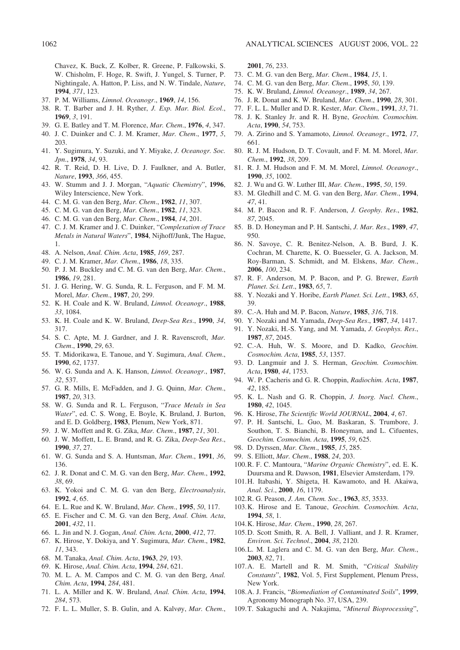Chavez, K. Buck, Z. Kolber, R. Greene, P. Falkowski, S. W. Chisholm, F. Hoge, R. Swift, J. Yungel, S. Turner, P. Nightingale, A. Hatton, P. Liss, and N. W. Tindale, *Nature*, **1994**, *371*, 123.

- 37. P. M. Williams, *Limnol. Oceanogr*., **1969**, *14*, 156.
- 38. R. T. Barber and J. H. Ryther, *J. Exp. Mar. Biol. Ecol*., **1969**, *3*, 191.
- 39. G. E. Batley and T. M. Florence, *Mar. Chem*., **1976**, *4*, 347.
- 40. J. C. Duinker and C. J. M. Kramer, *Mar. Chem*., **1977**, *5*, 203.
- 41. Y. Sugimura, Y. Suzuki, and Y. Miyake, *J. Oceanogr. Soc. Jpn*., **1978**, *34*, 93.
- 42. R. T. Reid, D. H. Live, D. J. Faulkner, and A. Butler, *Nature*, **1993**, *366*, 455.
- 43. W. Stumm and J. J. Morgan, "*Aquatic Chemistry*", **1996**, Wiley Interscience, New York.
- 44. C. M. G. van den Berg, *Mar. Chem*., **1982**, *11*, 307.
- 45. C. M. G. van den Berg, *Mar. Chem*., **1982**, *11*, 323.
- 46. C. M. G. van den Berg, *Mar. Chem*., **1984**, *14*, 201.
- 47. C. J. M. Kramer and J. C. Duinker, "*Complexation of Trace Metals in Natural Waters*", **1984**, Nijhoff/Junk, The Hague, 1.
- 48. A. Nelson, *Anal. Chim. Acta*, **1985**, *169*, 287.
- 49. C. J. M. Kramer, *Mar. Chem*., **1986**, *18*, 335.
- 50. P. J. M. Buckley and C. M. G. van den Berg, *Mar. Chem*., **1986**, *19*, 281.
- 51. J. G. Hering, W. G. Sunda, R. L. Ferguson, and F. M. M. Morel, *Mar. Chem*., **1987**, *20*, 299.
- 52. K. H. Coale and K. W. Bruland, *Limnol. Oceanogr*., **1988**, *33*, 1084.
- 53. K. H. Coale and K. W. Bruland, *Deep-Sea Res*., **1990**, *34*, 317.
- 54. S. C. Apte, M. J. Gardner, and J. R. Ravenscroft, *Mar. Chem*., **1990**, *29*, 63.
- 55. T. Midorikawa, E. Tanoue, and Y. Sugimura, *Anal. Chem*., **1990**, *62*, 1737.
- 56. W. G. Sunda and A. K. Hanson, *Limnol. Oceanogr*., **1987**, *32*, 537.
- 57. G. R. Mills, E. McFadden, and J. G. Quinn, *Mar. Chem*., **1987**, *20*, 313.
- 58. W. G. Sunda and R. L. Ferguson, "*Trace Metals in Sea Water*", ed. C. S. Wong, E. Boyle, K. Bruland, J. Burton, and E. D. Goldberg, **1983**, Plenum, New York, 871.
- 59. J. W. Moffett and R. G. Zika, *Mar. Chem*., **1987**, *21*, 301.
- 60. J. W. Moffett, L. E. Brand, and R. G. Zika, *Deep-Sea Res*., **1990**, *37*, 27.
- 61. W. G. Sunda and S. A. Huntsman, *Mar. Chem*., **1991**, *36*, 136.
- 62. J. R. Donat and C. M. G. van den Berg, *Mar. Chem*., **1992**, *38*, 69.
- 63. K. Yokoi and C. M. G. van den Berg, *Electroanalysis*, **1992**, *4*, 65.
- 64. E. L. Rue and K. W. Bruland, *Mar. Chem*., **1995**, *50*, 117.
- 65. E. Fischer and C. M. G. van den Berg, *Anal. Chim. Acta*, **2001**, *432*, 11.
- 66. L. Jin and N. J. Gogan, *Anal. Chim. Acta*, **2000**, *412*, 77.
- 67. K. Hirose, Y. Dokiya, and Y. Sugimura, *Mar. Chem*., **1982**, *11*, 343.
- 68. M. Tanaka, *Anal. Chim. Acta*, **1963**, *29*, 193.
- 69. K. Hirose, *Anal. Chim. Acta*, **1994**, *284*, 621.
- 70. M. L. A. M. Campos and C. M. G. van den Berg, *Anal. Chim. Acta*, **1994**, *284*, 481.
- 71. L. A. Miller and K. W. Bruland, *Anal. Chim. Acta*, **1994**, *284*, 573.
- 72. F. L. L. Muller, S. B. Gulin, and A. Kalvøy, *Mar. Chem*.,

**2001**, *76*, 233.

- 73. C. M. G. van den Berg, *Mar. Chem*., **1984**, *15*, 1.
- 74. C. M. G. van den Berg, *Mar. Chem*., **1995**, *50*, 139.
- 75. K. W. Bruland, *Limnol. Oceanogr*., **1989**, *34*, 267.
- 76. J. R. Donat and K. W. Bruland, *Mar. Chem*., **1990**, *28*, 301.
- 77. F. L. L. Muller and D. R. Kester, *Mar. Chem*., **1991**, *33*, 71.
- 78. J. K. Stanley Jr. and R. H. Byne, *Geochim. Cosmochim. Acta*, **1990**, *54*, 753.
- 79. A. Zirino and S. Yamamoto, *Limnol. Oceanogr*., **1972**, *17*, 661.
- 80. R. J. M. Hudson, D. T. Covault, and F. M. M. Morel, *Mar. Chem*., **1992**, *38*, 209.
- 81. R. J. M. Hudson and F. M. M. Morel, *Limnol. Oceanogr*., **1990**, *35*, 1002.
- 82. J. Wu and G. W. Luther III, *Mar. Chem*., **1995**, *50*, 159.
- 83. M. Gledhill and C. M. G. van den Berg, *Mar. Chem*., **1994**, *47*, 41.
- 84. M. P. Bacon and R. F. Anderson, *J. Geophy. Res*., **1982**, *87*, 2045.
- 85. B. D. Honeyman and P. H. Santschi, *J. Mar. Res*., **1989**, *47*, 950.
- 86. N. Savoye, C. R. Benitez-Nelson, A. B. Burd, J. K. Cochran, M. Charette, K. O. Buesseler, G. A. Jackson, M. Roy-Barman, S. Schmidt, and M. Elskens, *Mar. Chem*., **2006**, *100*, 234.
- 87. R. F. Anderson, M. P. Bacon, and P. G. Brewer, *Earth Planet. Sci. Lett*., **1983**, *65*, 7.
- 88. Y. Nozaki and Y. Horibe, *Earth Planet. Sci. Lett*., **1983**, *65*, 39.
- 89. C.-A. Huh and M. P. Bacon, *Nature*, **1985**, *316*, 718.
- 90. Y. Nozaki and M. Yamada, *Deep-Sea Res*., **1987**, *34*, 1417.
- 91. Y. Nozaki, H.-S. Yang, and M. Yamada, *J. Geophys. Res*., **1987**, *87*, 2045.
- 92. C.-A. Huh, W. S. Moore, and D. Kadko, *Geochim. Cosmochim. Acta*, **1985**, *53*, 1357.
- 93. D. Langmuir and J. S. Herman, *Geochim. Cosmochim. Acta*, **1980**, *44*, 1753.
- 94. W. P. Cacheris and G. R. Choppin, *Radiochim. Acta*, **1987**, *42*, 185.
- 95. K. L. Nash and G. R. Choppin, *J. Inorg. Nucl. Chem*., **1980**, *42*, 1045.
- 96. K. Hirose, *The Scientific World JOURNAL*, **2004**, *4*, 67.
- 97. P. H. Santschi, L. Guo, M. Baskaran, S. Trumbore, J. Southon, T. S. Bianchi, B. Honeyman, and L. Cifuentes, *Geochim. Cosmochim. Acta*, **1995**, *59*, 625.
- 98. D. Dyrssen, *Mar. Chem*., **1985**, *15*, 285.
- 99. S. Elliott, *Mar. Chem*., **1988**, *24*, 203.
- 100.R. F. C. Mantoura, "*Marine Organic Chemistry*", ed. E. K. Duursma and R. Dawson, **1981**, Elsevier Amsterdam, 179.
- 101.H. Itabashi, Y. Shigeta, H. Kawamoto, and H. Akaiwa, *Anal. Sci*., **2000**, *16*, 1179.
- 102.R. G. Peason, *J. Am. Chem. Soc*., **1963**, *85*, 3533.
- 103.K. Hirose and E. Tanoue, *Geochim. Cosmochim. Acta*, **1994**, *58*, 1.
- 104.K. Hirose, *Mar. Chem*., **1990**, *28*, 267.
- 105.D. Scott Smith, R. A. Bell, J. Valliant, and J. R. Kramer, *Environ. Sci. Technol*., **2004**, *38*, 2120.
- 106.L. M. Laglera and C. M. G. van den Berg, *Mar. Chem*., **2003**, *82*, 71.
- 107.A. E. Martell and R. M. Smith, "*Critical Stability Constants*", **1982**, Vol. 5, First Supplement, Plenum Press, New York.
- 108.A. J. Francis, "*Biomediation of Contaminated Soils*", **1999**, Agronomy Monograph No. 37, USA, 239.
- 109.T. Sakaguchi and A. Nakajima, "*Mineral Bioprocessing*",